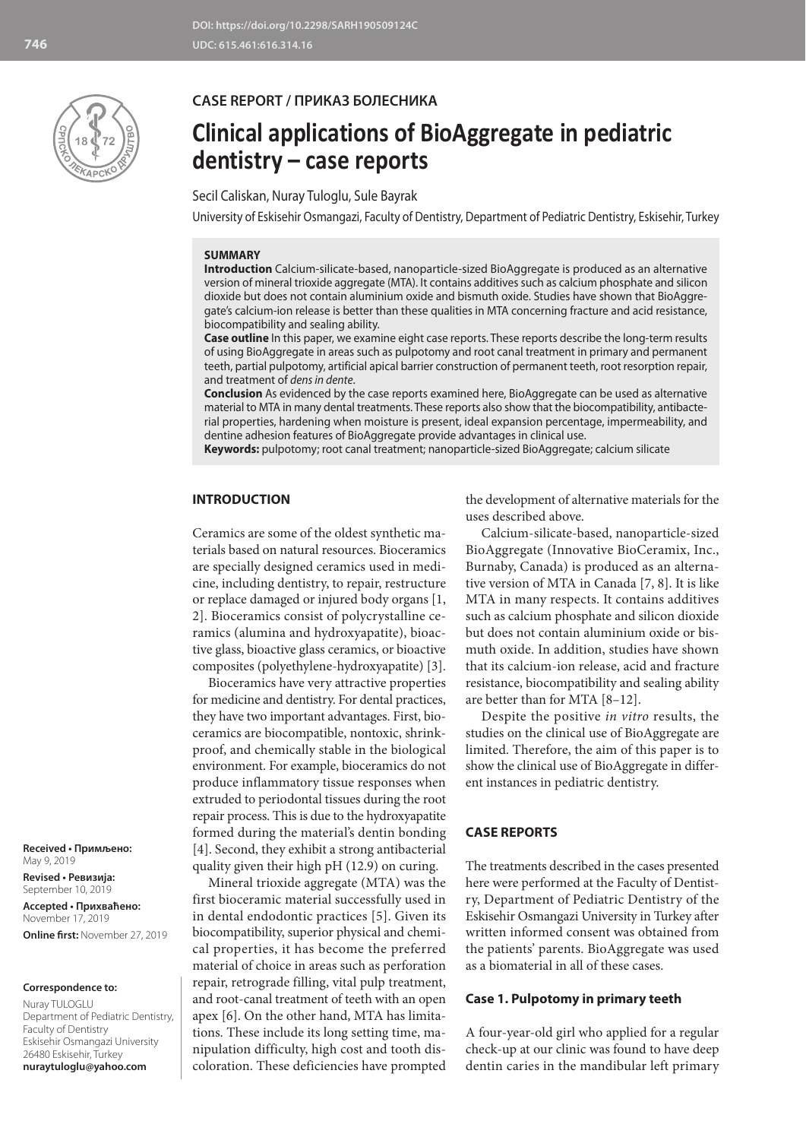

**CASE REPORT / ПРИКАЗ БОЛЕСНИКА**

# **Clinical applications of BioAggregate in pediatric dentistry – case reports**

Secil Caliskan, Nuray Tuloglu, Sule Bayrak

University of Eskisehir Osmangazi, Faculty of Dentistry, Department of Pediatric Dentistry, Eskisehir, Turkey

#### **SUMMARY**

**Introduction** Calcium-silicate-based, nanoparticle-sized BioAggregate is produced as an alternative version of mineral trioxide aggregate (MTA). It contains additives such as calcium phosphate and silicon dioxide but does not contain aluminium oxide and bismuth oxide. Studies have shown that BioAggregate's calcium-ion release is better than these qualities in MTA concerning fracture and acid resistance, biocompatibility and sealing ability.

**Case outline** In this paper, we examine eight case reports. These reports describe the long-term results of using BioAggregate in areas such as pulpotomy and root canal treatment in primary and permanent teeth, partial pulpotomy, artificial apical barrier construction of permanent teeth, root resorption repair, and treatment of *dens in dente*.

**Conclusion** As evidenced by the case reports examined here, BioAggregate can be used as alternative material to MTA in many dental treatments. These reports also show that the biocompatibility, antibacterial properties, hardening when moisture is present, ideal expansion percentage, impermeability, and dentine adhesion features of BioAggregate provide advantages in clinical use.

**Keywords:** pulpotomy; root canal treatment; nanoparticle-sized BioAggregate; calcium silicate

## **INTRODUCTION**

Ceramics are some of the oldest synthetic materials based on natural resources. Bioceramics are specially designed ceramics used in medicine, including dentistry, to repair, restructure or replace damaged or injured body organs [1, 2]. Bioceramics consist of polycrystalline ceramics (alumina and hydroxyapatite), bioactive glass, bioactive glass ceramics, or bioactive composites (polyethylene-hydroxyapatite) [3].

Bioceramics have very attractive properties for medicine and dentistry. For dental practices, they have two important advantages. First, bioceramics are biocompatible, nontoxic, shrinkproof, and chemically stable in the biological environment. For example, bioceramics do not produce inflammatory tissue responses when extruded to periodontal tissues during the root repair process. This is due to the hydroxyapatite formed during the material's dentin bonding [4]. Second, they exhibit a strong antibacterial quality given their high pH (12.9) on curing.

Mineral trioxide aggregate (MTA) was the first bioceramic material successfully used in in dental endodontic practices [5]. Given its biocompatibility, superior physical and chemical properties, it has become the preferred material of choice in areas such as perforation repair, retrograde filling, vital pulp treatment, and root-canal treatment of teeth with an open apex [6]. On the other hand, MTA has limitations. These include its long setting time, manipulation difficulty, high cost and tooth discoloration. These deficiencies have prompted

the development of alternative materials for the uses described above.

Calcium-silicate-based, nanoparticle-sized BioAggregate (Innovative BioCeramix, Inc., Burnaby, Canada) is produced as an alternative version of MTA in Canada [7, 8]. It is like MTA in many respects. It contains additives such as calcium phosphate and silicon dioxide but does not contain aluminium oxide or bismuth oxide. In addition, studies have shown that its calcium-ion release, acid and fracture resistance, biocompatibility and sealing ability are better than for MTA [8–12].

Despite the positive *in vitro* results, the studies on the clinical use of BioAggregate are limited. Therefore, the aim of this paper is to show the clinical use of BioAggregate in different instances in pediatric dentistry.

#### **CASE REPORTS**

The treatments described in the cases presented here were performed at the Faculty of Dentistry, Department of Pediatric Dentistry of the Eskisehir Osmangazi University in Turkey after written informed consent was obtained from the patients' parents. BioAggregate was used as a biomaterial in all of these cases.

## **Case 1. Pulpotomy in primary teeth**

A four-year-old girl who applied for a regular check-up at our clinic was found to have deep dentin caries in the mandibular left primary

**Received • Примљено:**  May 9, 2019

**Revised • Ревизија:**  September 10, 2019 **Accepted • Прихваћено:** November 17, 2019 **Online first:** November 27, 2019

#### **Correspondence to:**

Nuray TULOGLU Department of Pediatric Dentistry, Faculty of Dentistry Eskisehir Osmangazi University 26480 Eskisehir, Turkey **nuraytuloglu@yahoo.com**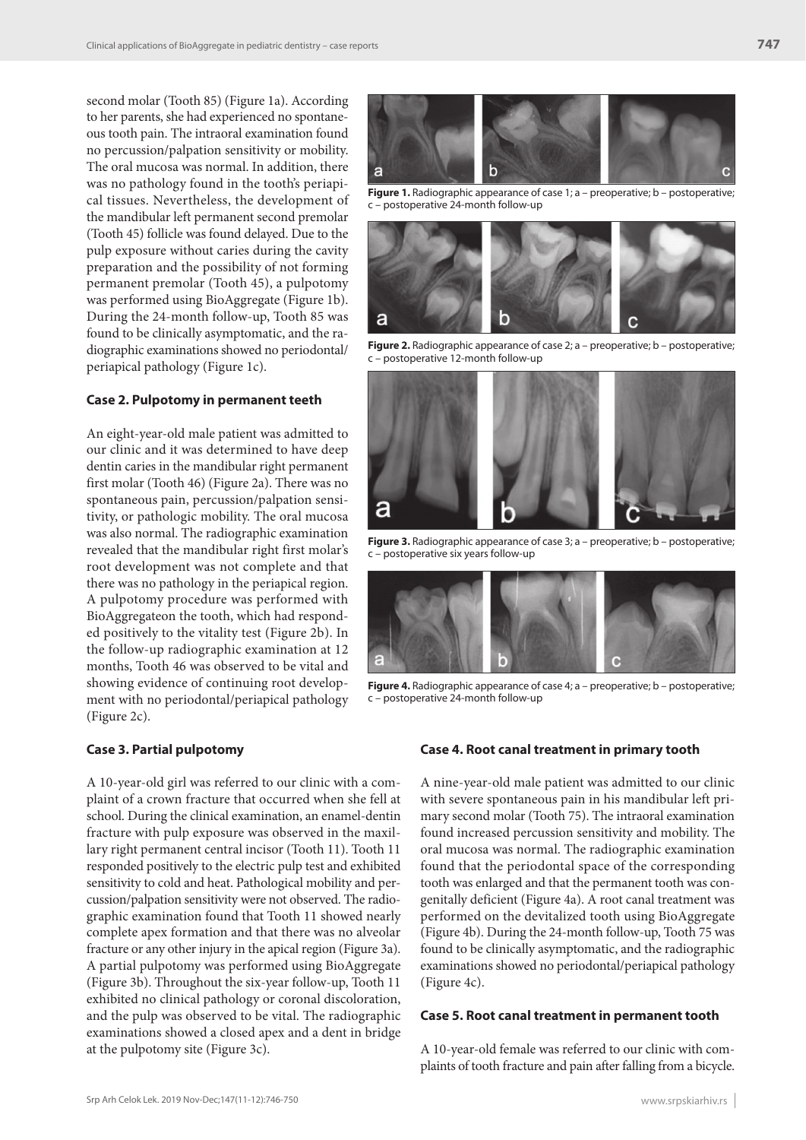second molar (Tooth 85) (Figure 1a). According to her parents, she had experienced no spontaneous tooth pain. The intraoral examination found no percussion/palpation sensitivity or mobility. The oral mucosa was normal. In addition, there was no pathology found in the tooth's periapical tissues. Nevertheless, the development of the mandibular left permanent second premolar (Tooth 45) follicle was found delayed. Due to the pulp exposure without caries during the cavity preparation and the possibility of not forming permanent premolar (Tooth 45), a pulpotomy was performed using BioAggregate (Figure 1b). During the 24-month follow-up, Tooth 85 was found to be clinically asymptomatic, and the radiographic examinations showed no periodontal/ periapical pathology (Figure 1c).

#### **Case 2. Pulpotomy in permanent teeth**

An eight-year-old male patient was admitted to our clinic and it was determined to have deep dentin caries in the mandibular right permanent first molar (Tooth 46) (Figure 2a). There was no spontaneous pain, percussion/palpation sensitivity, or pathologic mobility. The oral mucosa was also normal. The radiographic examination revealed that the mandibular right first molar's root development was not complete and that there was no pathology in the periapical region. A pulpotomy procedure was performed with BioAggregateon the tooth, which had responded positively to the vitality test (Figure 2b). In the follow-up radiographic examination at 12 months, Tooth 46 was observed to be vital and showing evidence of continuing root development with no periodontal/periapical pathology (Figure 2c).

## **Case 3. Partial pulpotomy**

A 10-year-old girl was referred to our clinic with a complaint of a crown fracture that occurred when she fell at school. During the clinical examination, an enamel-dentin fracture with pulp exposure was observed in the maxillary right permanent central incisor (Tooth 11). Tooth 11 responded positively to the electric pulp test and exhibited sensitivity to cold and heat. Pathological mobility and percussion/palpation sensitivity were not observed. The radiographic examination found that Tooth 11 showed nearly complete apex formation and that there was no alveolar fracture or any other injury in the apical region (Figure 3a). A partial pulpotomy was performed using BioAggregate (Figure 3b). Throughout the six-year follow-up, Tooth 11 exhibited no clinical pathology or coronal discoloration, and the pulp was observed to be vital. The radiographic examinations showed a closed apex and a dent in bridge at the pulpotomy site (Figure 3c).



**Figure 1.** Radiographic appearance of case 1; a - preoperative; b - postoperative; c – postoperative 24-month follow-up



**Figure 2.** Radiographic appearance of case 2; a – preoperative; b – postoperative; c – postoperative 12-month follow-up



**Figure 3.** Radiographic appearance of case 3; a – preoperative; b – postoperative; c – postoperative six years follow-up



**Figure 4.** Radiographic appearance of case 4; a - preoperative; b - postoperative; c – postoperative 24-month follow-up

## **Case 4. Root canal treatment in primary tooth**

A nine-year-old male patient was admitted to our clinic with severe spontaneous pain in his mandibular left primary second molar (Tooth 75). The intraoral examination found increased percussion sensitivity and mobility. The oral mucosa was normal. The radiographic examination found that the periodontal space of the corresponding tooth was enlarged and that the permanent tooth was congenitally deficient (Figure 4a). A root canal treatment was performed on the devitalized tooth using BioAggregate (Figure 4b). During the 24-month follow-up, Tooth 75 was found to be clinically asymptomatic, and the radiographic examinations showed no periodontal/periapical pathology (Figure 4c).

#### **Case 5. Root canal treatment in permanent tooth**

A 10-year-old female was referred to our clinic with complaints of tooth fracture and pain after falling from a bicycle.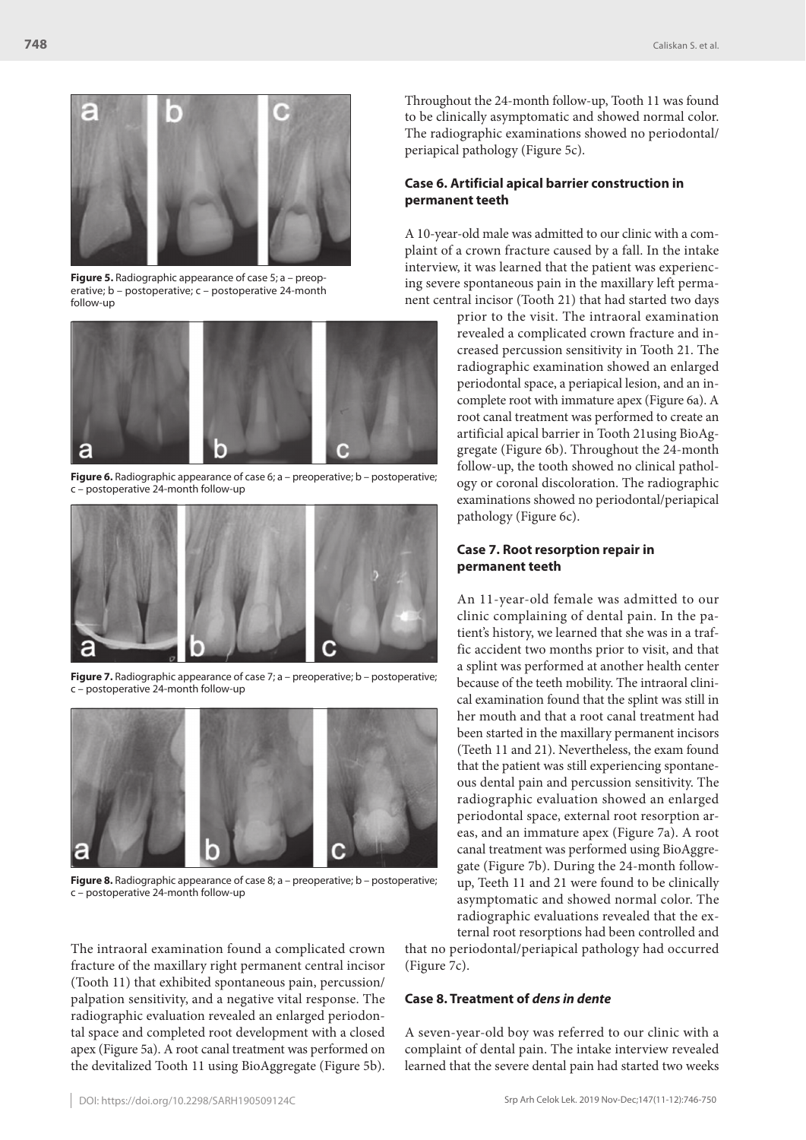

**Figure 5.** Radiographic appearance of case 5; a – preoperative; b – postoperative; c – postoperative 24-month follow-up



**Figure 6.** Radiographic appearance of case 6; a – preoperative; b – postoperative; c – postoperative 24-month follow-up



**Figure 7.** Radiographic appearance of case 7; a – preoperative; b – postoperative; c – postoperative 24-month follow-up



**Figure 8.** Radiographic appearance of case 8; a - preoperative; b - postoperative; c – postoperative 24-month follow-up

The intraoral examination found a complicated crown fracture of the maxillary right permanent central incisor (Tooth 11) that exhibited spontaneous pain, percussion/ palpation sensitivity, and a negative vital response. The radiographic evaluation revealed an enlarged periodontal space and completed root development with a closed apex (Figure 5a). A root canal treatment was performed on the devitalized Tooth 11 using BioAggregate (Figure 5b). Throughout the 24-month follow-up, Tooth 11 was found to be clinically asymptomatic and showed normal color. The radiographic examinations showed no periodontal/ periapical pathology (Figure 5c).

## **Case 6. Artificial apical barrier construction in permanent teeth**

A 10-year-old male was admitted to our clinic with a complaint of a crown fracture caused by a fall. In the intake interview, it was learned that the patient was experiencing severe spontaneous pain in the maxillary left permanent central incisor (Tooth 21) that had started two days

> prior to the visit. The intraoral examination revealed a complicated crown fracture and increased percussion sensitivity in Tooth 21. The radiographic examination showed an enlarged periodontal space, a periapical lesion, and an incomplete root with immature apex (Figure 6a). A root canal treatment was performed to create an artificial apical barrier in Tooth 21using BioAggregate (Figure 6b). Throughout the 24-month follow-up, the tooth showed no clinical pathology or coronal discoloration. The radiographic examinations showed no periodontal/periapical pathology (Figure 6c).

## **Case 7. Root resorption repair in permanent teeth**

An 11-year-old female was admitted to our clinic complaining of dental pain. In the patient's history, we learned that she was in a traffic accident two months prior to visit, and that a splint was performed at another health center because of the teeth mobility. The intraoral clinical examination found that the splint was still in her mouth and that a root canal treatment had been started in the maxillary permanent incisors (Teeth 11 and 21). Nevertheless, the exam found that the patient was still experiencing spontaneous dental pain and percussion sensitivity. The radiographic evaluation showed an enlarged periodontal space, external root resorption areas, and an immature apex (Figure 7a). A root canal treatment was performed using BioAggregate (Figure 7b). During the 24-month followup, Teeth 11 and 21 were found to be clinically asymptomatic and showed normal color. The radiographic evaluations revealed that the external root resorptions had been controlled and

that no periodontal/periapical pathology had occurred (Figure 7c).

#### **Case 8. Treatment of** *dens in dente*

A seven-year-old boy was referred to our clinic with a complaint of dental pain. The intake interview revealed learned that the severe dental pain had started two weeks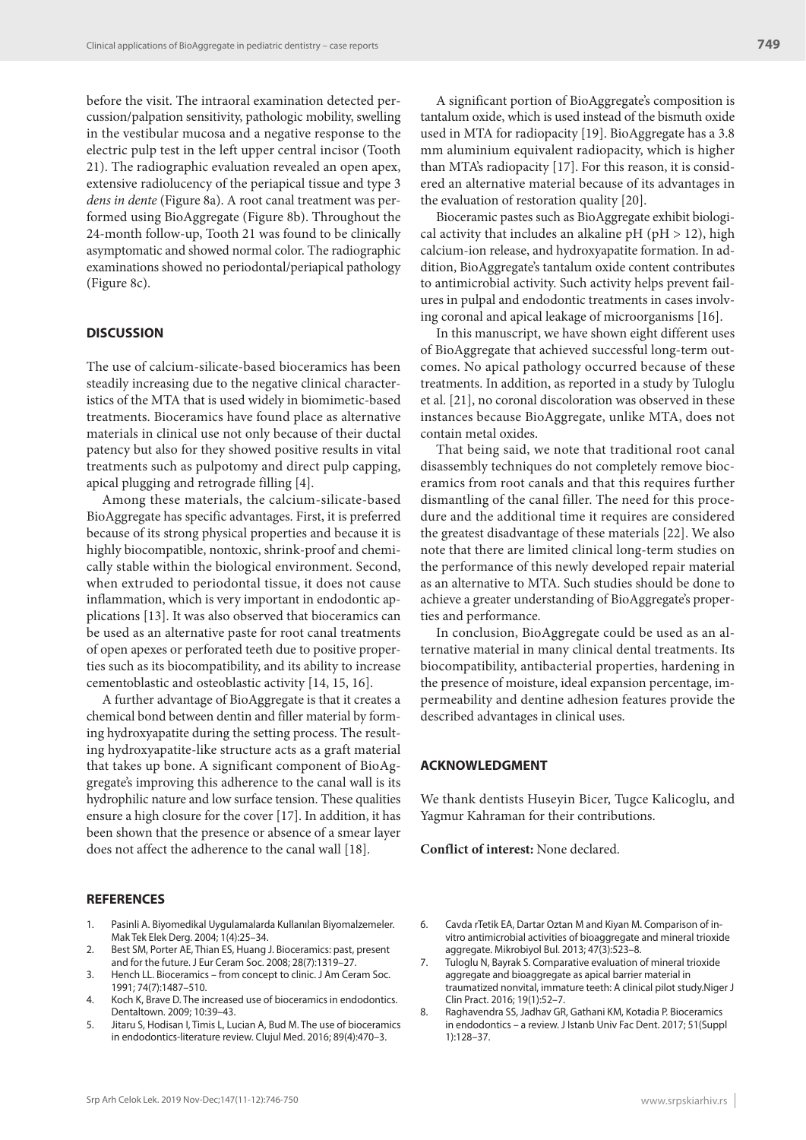before the visit. The intraoral examination detected percussion/palpation sensitivity, pathologic mobility, swelling in the vestibular mucosa and a negative response to the electric pulp test in the left upper central incisor (Tooth 21). The radiographic evaluation revealed an open apex, extensive radiolucency of the periapical tissue and type 3 *dens in dente* (Figure 8a). A root canal treatment was performed using BioAggregate (Figure 8b). Throughout the 24-month follow-up, Tooth 21 was found to be clinically asymptomatic and showed normal color. The radiographic examinations showed no periodontal/periapical pathology (Figure 8c).

## **DISCUSSION**

The use of calcium-silicate-based bioceramics has been steadily increasing due to the negative clinical characteristics of the MTA that is used widely in biomimetic-based treatments. Bioceramics have found place as alternative materials in clinical use not only because of their ductal patency but also for they showed positive results in vital treatments such as pulpotomy and direct pulp capping, apical plugging and retrograde filling [4].

Among these materials, the calcium-silicate-based BioAggregate has specific advantages. First, it is preferred because of its strong physical properties and because it is highly biocompatible, nontoxic, shrink-proof and chemically stable within the biological environment. Second, when extruded to periodontal tissue, it does not cause inflammation, which is very important in endodontic applications [13]. It was also observed that bioceramics can be used as an alternative paste for root canal treatments of open apexes or perforated teeth due to positive properties such as its biocompatibility, and its ability to increase cementoblastic and osteoblastic activity [14, 15, 16].

A further advantage of BioAggregate is that it creates a chemical bond between dentin and filler material by forming hydroxyapatite during the setting process. The resulting hydroxyapatite-like structure acts as a graft material that takes up bone. A significant component of BioAggregate's improving this adherence to the canal wall is its hydrophilic nature and low surface tension. These qualities ensure a high closure for the cover [17]. In addition, it has been shown that the presence or absence of a smear layer does not affect the adherence to the canal wall [18].

#### **REFERENCES**

- 1. Pasinli A. Biyomedikal Uygulamalarda Kullanılan Biyomalzemeler. Mak Tek Elek Derg. 2004; 1(4):25–34.
- 2. Best SM, Porter AE, Thian ES, Huang J. Bioceramics: past, present and for the future. J Eur Ceram Soc. 2008; 28(7):1319–27.
- 3. Hench LL. Bioceramics from concept to clinic. J Am Ceram Soc. 1991; 74(7):1487–510.
- 4. Koch K, Brave D. The increased use of bioceramics in endodontics. Dentaltown. 2009; 10:39–43.
- 5. Jitaru S, Hodisan I, Timis L, Lucian A, Bud M. The use of bioceramics in endodontics-literature review. Clujul Med. 2016; 89(4):470–3.

A significant portion of BioAggregate's composition is tantalum oxide, which is used instead of the bismuth oxide used in MTA for radiopacity [19]. BioAggregate has a 3.8 mm aluminium equivalent radiopacity, which is higher than MTA's radiopacity [17]. For this reason, it is considered an alternative material because of its advantages in the evaluation of restoration quality [20].

Bioceramic pastes such as BioAggregate exhibit biological activity that includes an alkaline pH ( $pH > 12$ ), high calcium-ion release, and hydroxyapatite formation. In addition, BioAggregate's tantalum oxide content contributes to antimicrobial activity. Such activity helps prevent failures in pulpal and endodontic treatments in cases involving coronal and apical leakage of microorganisms [16].

In this manuscript, we have shown eight different uses of BioAggregate that achieved successful long-term outcomes. No apical pathology occurred because of these treatments. In addition, as reported in a study by Tuloglu et al. [21], no coronal discoloration was observed in these instances because BioAggregate, unlike MTA, does not contain metal oxides.

That being said, we note that traditional root canal disassembly techniques do not completely remove bioceramics from root canals and that this requires further dismantling of the canal filler. The need for this procedure and the additional time it requires are considered the greatest disadvantage of these materials [22]. We also note that there are limited clinical long-term studies on the performance of this newly developed repair material as an alternative to MTA. Such studies should be done to achieve a greater understanding of BioAggregate's properties and performance.

In conclusion, BioAggregate could be used as an alternative material in many clinical dental treatments. Its biocompatibility, antibacterial properties, hardening in the presence of moisture, ideal expansion percentage, impermeability and dentine adhesion features provide the described advantages in clinical uses.

## **ACKNOWLEDGMENT**

We thank dentists Huseyin Bicer, Tugce Kalicoglu, and Yagmur Kahraman for their contributions.

**Conflict of interest:** None declared.

- 6. Cavda rTetik EA, Dartar Oztan M and Kiyan M. Comparison of invitro antimicrobial activities of bioaggregate and mineral trioxide aggregate. Mikrobiyol Bul. 2013; 47(3):523–8.
- 7. Tuloglu N, Bayrak S. Comparative evaluation of mineral trioxide aggregate and bioaggregate as apical barrier material in traumatized nonvital, immature teeth: A clinical pilot study.Niger J Clin Pract. 2016; 19(1):52–7.
- 8. Raghavendra SS, Jadhav GR, Gathani KM, Kotadia P. Bioceramics in endodontics – a review. J Istanb Univ Fac Dent. 2017; 51(Suppl 1):128–37.